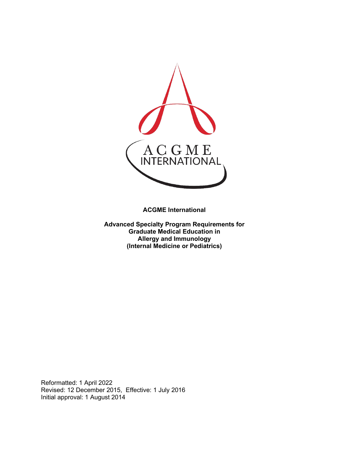

**ACGME International** 

**Advanced Specialty Program Requirements for Graduate Medical Education in Allergy and Immunology (Internal Medicine or Pediatrics)**

Reformatted: 1 April 2022 Revised: 12 December 2015, Effective: 1 July 2016 Initial approval: 1 August 2014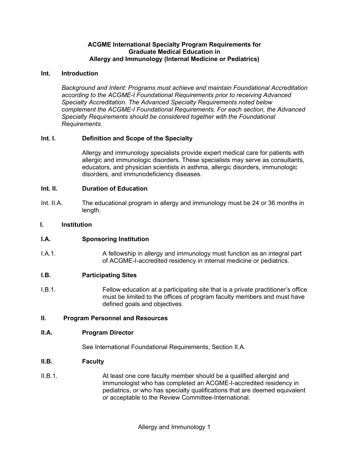## **ACGME International Specialty Program Requirements for Graduate Medical Education in Allergy and Immunology (Internal Medicine or Pediatrics)**

## **Int. Introduction**

*Background and Intent: Programs must achieve and maintain Foundational Accreditation according to the ACGME-I Foundational Requirements prior to receiving Advanced Specialty Accreditation. The Advanced Specialty Requirements noted below complement the ACGME-I Foundational Requirements. For each section, the Advanced Specialty Requirements should be considered together with the Foundational Requirements.*

## **Int. I. Definition and Scope of the Specialty**

Allergy and immunology specialists provide expert medical care for patients with allergic and immunologic disorders. These specialists may serve as consultants, educators, and physician scientists in asthma, allergic disorders, immunologic disorders, and immunodeficiency diseases.

## **Int. II. Duration of Education**

Int. II.A. The educational program in allergy and immunology must be 24 or 36 months in length.

#### **I. Institution**

## **I.A. Sponsoring Institution**

I.A.1. A fellowship in allergy and immunology must function as an integral part of ACGME-I-accredited residency in internal medicine or pediatrics.

#### **I.B. Participating Sites**

I.B.1. Fellow education at a participating site that is a private practitioner's office must be limited to the offices of program faculty members and must have defined goals and objectives.

## **II. Program Personnel and Resources**

#### **II.A. Program Director**

See International Foundational Requirements, Section II.A.

#### **II.B. Faculty**

II.B.1. At least one core faculty member should be a qualified allergist and immunologist who has completed an ACGME-I-accredited residency in pediatrics, or who has specialty qualifications that are deemed equivalent or acceptable to the Review Committee-International.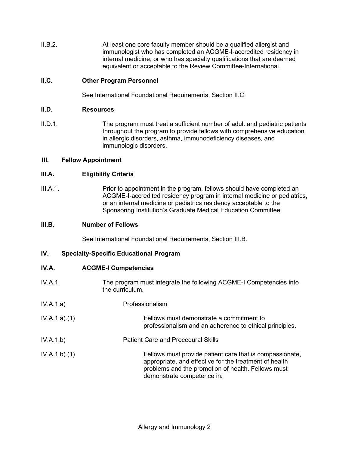II.B.2. At least one core faculty member should be a qualified allergist and immunologist who has completed an ACGME-I-accredited residency in internal medicine, or who has specialty qualifications that are deemed equivalent or acceptable to the Review Committee-International.

## **II.C. Other Program Personnel**

See International Foundational Requirements, Section II.C.

#### **II.D. Resources**

II.D.1. The program must treat a sufficient number of adult and pediatric patients throughout the program to provide fellows with comprehensive education in allergic disorders, asthma, immunodeficiency diseases, and immunologic disorders.

#### **III. Fellow Appointment**

## **III.A. Eligibility Criteria**

III.A.1. Prior to appointment in the program, fellows should have completed an ACGME-I-accredited residency program in internal medicine or pediatrics, or an internal medicine or pediatrics residency acceptable to the Sponsoring Institution's Graduate Medical Education Committee.

#### **III.B. Number of Fellows**

See International Foundational Requirements, Section III.B.

## **IV. Specialty-Specific Educational Program**

#### **IV.A. ACGME-I Competencies**

- IV.A.1. The program must integrate the following ACGME-I Competencies into the curriculum.
- IV.A.1.a) Professionalism
- IV.A.1.a).(1) Fellows must demonstrate a commitment to professionalism and an adherence to ethical principles**.**
- IV.A.1.b) Patient Care and Procedural Skills
- IV.A.1.b).(1) Fellows must provide patient care that is compassionate, appropriate, and effective for the treatment of health problems and the promotion of health. Fellows must demonstrate competence in: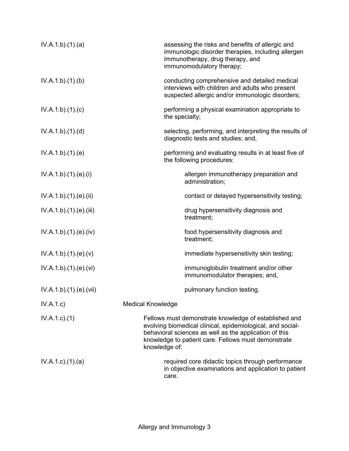| IV.A.1.b)(1)(a)           | assessing the risks and benefits of allergic and<br>immunologic disorder therapies, including allergen<br>immunotherapy, drug therapy, and<br>immunomodulatory therapy;                                                                               |
|---------------------------|-------------------------------------------------------------------------------------------------------------------------------------------------------------------------------------------------------------------------------------------------------|
| IV.A.1.b)(1)(b)           | conducting comprehensive and detailed medical<br>interviews with children and adults who present<br>suspected allergic and/or immunologic disorders;                                                                                                  |
| IV.A.1.b)(1)(c)           | performing a physical examination appropriate to<br>the specialty;                                                                                                                                                                                    |
| IV.A.1.b)(1)(d)           | selecting, performing, and interpreting the results of<br>diagnostic tests and studies; and,                                                                                                                                                          |
| IV.A.1.b)(1)(e)           | performing and evaluating results in at least five of<br>the following procedures:                                                                                                                                                                    |
| IV.A.1.b) (1) (e) (i)     | allergen immunotherapy preparation and<br>administration;                                                                                                                                                                                             |
| IV.A.1.b)(1)(e)(ii)       | contact or delayed hypersensitivity testing;                                                                                                                                                                                                          |
| IV.A.1.b) (1) (e) (iii)   | drug hypersensitivity diagnosis and<br>treatment;                                                                                                                                                                                                     |
| IV.A.1.b)(1)(e)(iv)       | food hypersensitivity diagnosis and<br>treatment;                                                                                                                                                                                                     |
| IV.A.1.b)(1)(e)(v)        | immediate hypersensitivity skin testing;                                                                                                                                                                                                              |
| IV.A.1.b)(1)(e)(vi)       | immunoglobulin treatment and/or other<br>immunomodulator therapies; and,                                                                                                                                                                              |
| IV.A.1.b).(1).(e).(vii)   | pulmonary function testing.                                                                                                                                                                                                                           |
| IV.A.1.c)                 | <b>Medical Knowledge</b>                                                                                                                                                                                                                              |
| $IV.A.1.c.$ (1)           | Fellows must demonstrate knowledge of established and<br>evolving biomedical clinical, epidemiological, and social-<br>behavioral sciences as well as the application of this<br>knowledge to patient care. Fellows must demonstrate<br>knowledge of: |
| $IV.A.1.c$ . $(1).$ $(a)$ | required core didactic topics through performance<br>in objective examinations and application to patient<br>care.                                                                                                                                    |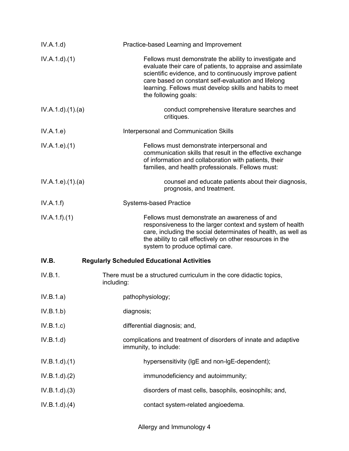| IV.A.1.d)          | Practice-based Learning and Improvement                                                                                                                                                                                                                                                                                       |
|--------------------|-------------------------------------------------------------------------------------------------------------------------------------------------------------------------------------------------------------------------------------------------------------------------------------------------------------------------------|
| IV.A.1.d)(1)       | Fellows must demonstrate the ability to investigate and<br>evaluate their care of patients, to appraise and assimilate<br>scientific evidence, and to continuously improve patient<br>care based on constant self-evaluation and lifelong<br>learning. Fellows must develop skills and habits to meet<br>the following goals: |
| IV.A.1.d)(1)(a)    | conduct comprehensive literature searches and<br>critiques.                                                                                                                                                                                                                                                                   |
| IV.A.1.e)          | Interpersonal and Communication Skills                                                                                                                                                                                                                                                                                        |
| IV.A.1.e. (1)      | Fellows must demonstrate interpersonal and<br>communication skills that result in the effective exchange<br>of information and collaboration with patients, their<br>families, and health professionals. Fellows must:                                                                                                        |
| IV.A.1.e. (1). (a) | counsel and educate patients about their diagnosis,<br>prognosis, and treatment.                                                                                                                                                                                                                                              |
| IV.A.1.f)          | <b>Systems-based Practice</b>                                                                                                                                                                                                                                                                                                 |
| IV.A.1.f)(1)       | Fellows must demonstrate an awareness of and<br>responsiveness to the larger context and system of health<br>care, including the social determinates of health, as well as<br>the ability to call effectively on other resources in the<br>system to produce optimal care.                                                    |
| IV.B.              | <b>Regularly Scheduled Educational Activities</b>                                                                                                                                                                                                                                                                             |
| IV.B.1.            | There must be a structured curriculum in the core didactic topics,<br>including:                                                                                                                                                                                                                                              |
| IV.B.1.a)          | pathophysiology;                                                                                                                                                                                                                                                                                                              |
| IV.B.1.b)          | diagnosis;                                                                                                                                                                                                                                                                                                                    |
| IV.B.1.c)          | differential diagnosis; and,                                                                                                                                                                                                                                                                                                  |
| IV.B.1.d)          | complications and treatment of disorders of innate and adaptive<br>immunity, to include:                                                                                                                                                                                                                                      |
| IV.B.1.d)(1)       | hypersensitivity (IgE and non-IgE-dependent);                                                                                                                                                                                                                                                                                 |
| IV.B.1.d)(2)       | immunodeficiency and autoimmunity;                                                                                                                                                                                                                                                                                            |
| IV.B.1.d)(3)       | disorders of mast cells, basophils, eosinophils; and,                                                                                                                                                                                                                                                                         |
| IV.B.1.d)(4)       | contact system-related angioedema.                                                                                                                                                                                                                                                                                            |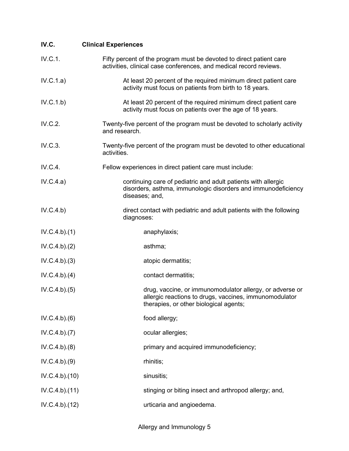| IV.C.         | <b>Clinical Experiences</b>                                                                                                                                  |
|---------------|--------------------------------------------------------------------------------------------------------------------------------------------------------------|
| IV.C.1.       | Fifty percent of the program must be devoted to direct patient care<br>activities, clinical case conferences, and medical record reviews.                    |
| IV.C.1.a)     | At least 20 percent of the required minimum direct patient care<br>activity must focus on patients from birth to 18 years.                                   |
| IV.C.1.b)     | At least 20 percent of the required minimum direct patient care<br>activity must focus on patients over the age of 18 years.                                 |
| IV.C.2.       | Twenty-five percent of the program must be devoted to scholarly activity<br>and research.                                                                    |
| IV.C.3.       | Twenty-five percent of the program must be devoted to other educational<br>activities.                                                                       |
| IV.C.4.       | Fellow experiences in direct patient care must include:                                                                                                      |
| IV.C.4.a)     | continuing care of pediatric and adult patients with allergic<br>disorders, asthma, immunologic disorders and immunodeficiency<br>diseases; and,             |
| IV.C.4.b)     | direct contact with pediatric and adult patients with the following<br>diagnoses:                                                                            |
| IV.C.4.b)(1)  | anaphylaxis;                                                                                                                                                 |
| IV.C.4.b)(2)  | asthma;                                                                                                                                                      |
| IV.C.4.b)(3)  | atopic dermatitis;                                                                                                                                           |
| IV.C.4.b)(4)  | contact dermatitis;                                                                                                                                          |
| IV.C.4.b)(5)  | drug, vaccine, or immunomodulator allergy, or adverse or<br>allergic reactions to drugs, vaccines, immunomodulator<br>therapies, or other biological agents; |
| IV.C.4.b)(6)  | food allergy;                                                                                                                                                |
| IV.C.4.b)(7)  | ocular allergies;                                                                                                                                            |
| IV.C.4.b)(8)  | primary and acquired immunodeficiency;                                                                                                                       |
| IV.C.4.b)(9)  | rhinitis;                                                                                                                                                    |
| IV.C.4.b)(10) | sinusitis;                                                                                                                                                   |
| IV.C.4.b)(11) | stinging or biting insect and arthropod allergy; and,                                                                                                        |
| IV.C.4.b)(12) | urticaria and angioedema.                                                                                                                                    |